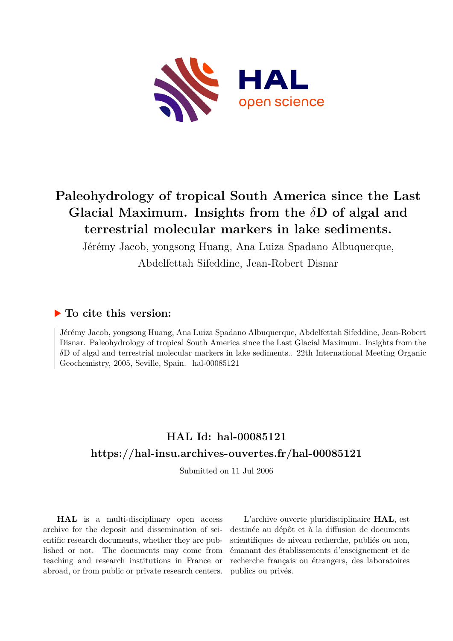

## **Paleohydrology of tropical South America since the Last Glacial Maximum. Insights from the** *δ***D of algal and terrestrial molecular markers in lake sediments.**

Jérémy Jacob, yongsong Huang, Ana Luiza Spadano Albuquerque,

Abdelfettah Sifeddine, Jean-Robert Disnar

## **To cite this version:**

Jérémy Jacob, yongsong Huang, Ana Luiza Spadano Albuquerque, Abdelfettah Sifeddine, Jean-Robert Disnar. Paleohydrology of tropical South America since the Last Glacial Maximum. Insights from the *δ*D of algal and terrestrial molecular markers in lake sediments.. 22th International Meeting Organic Geochemistry, 2005, Seville, Spain.  $hal-00085121$ 

## **HAL Id: hal-00085121 <https://hal-insu.archives-ouvertes.fr/hal-00085121>**

Submitted on 11 Jul 2006

**HAL** is a multi-disciplinary open access archive for the deposit and dissemination of scientific research documents, whether they are published or not. The documents may come from teaching and research institutions in France or abroad, or from public or private research centers.

L'archive ouverte pluridisciplinaire **HAL**, est destinée au dépôt et à la diffusion de documents scientifiques de niveau recherche, publiés ou non, émanant des établissements d'enseignement et de recherche français ou étrangers, des laboratoires publics ou privés.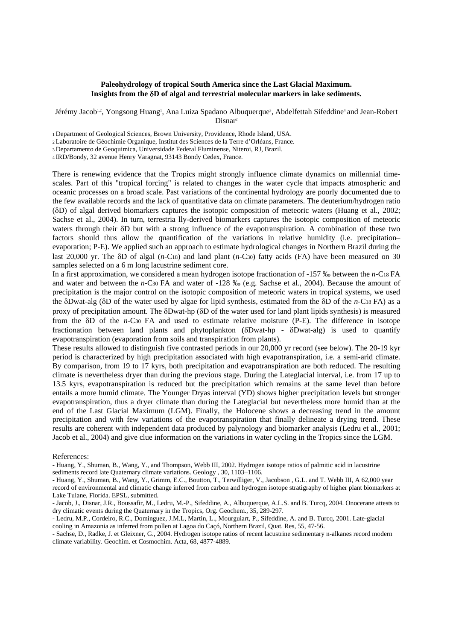## **Paleohydrology of tropical South America since the Last Glacial Maximum. Insights from the** δ**D of algal and terrestrial molecular markers in lake sediments.**

Jérémy Jacob<sup>1,2</sup>, Yongsong Huang<sup>1</sup>, Ana Luiza Spadano Albuquerque<sup>3</sup>, Abdelfettah Sifeddine<sup>4</sup> and Jean-Robert Disnar<sup>2</sup>

1 Department of Geological Sciences, Brown University, Providence, Rhode Island, USA.

2 Laboratoire de Géochimie Organique, Institut des Sciences de la Terre d'Orléans, France.

3 Departamento de Geoquimica, Universidade Federal Fluminense, Niteroi, RJ, Brazil.

4 IRD/Bondy, 32 avenue Henry Varagnat, 93143 Bondy Cedex, France.

There is renewing evidence that the Tropics might strongly influence climate dynamics on millennial timescales. Part of this "tropical forcing" is related to changes in the water cycle that impacts atmospheric and oceanic processes on a broad scale. Past variations of the continental hydrology are poorly documented due to the few available records and the lack of quantitative data on climate parameters. The deuterium/hydrogen ratio (δD) of algal derived biomarkers captures the isotopic composition of meteoric waters (Huang et al., 2002; Sachse et al., 2004). In turn, terrestria lly-derived biomarkers captures the isotopic composition of meteoric waters through their  $\delta D$  but with a strong influence of the evapotranspiration. A combination of these two factors should thus allow the quantification of the variations in relative humidity (i.e. precipitation– evaporation; P-E). We applied such an approach to estimate hydrological changes in Northern Brazil during the last 20,000 yr. The δD of algal (*n*-C18) and land plant (*n*-C30) fatty acids (FA) have been measured on 30 samples selected on a 6 m long lacustrine sediment core.

In a first approximation, we considered a mean hydrogen isotope fractionation of -157 ‰ between the *n*-C18 FA and water and between the *n*-C30 FA and water of -128 ‰ (e.g. Sachse et al., 2004). Because the amount of precipitation is the major control on the isotopic composition of meteoric waters in tropical systems, we used the δDwat-alg (δD of the water used by algae for lipid synthesis, estimated from the δD of the *n*-C18 FA) as a proxy of precipitation amount. The δDwat-hp (δD of the water used for land plant lipids synthesis) is measured from the δD of the *n*-C30 FA and used to estimate relative moisture (P-E). The difference in isotope fractionation between land plants and phytoplankton (δDwat-hp - δDwat-alg) is used to quantify evapotranspiration (evaporation from soils and transpiration from plants).

These results allowed to distinguish five contrasted periods in our 20,000 yr record (see below). The 20-19 kyr period is characterized by high precipitation associated with high evapotranspiration, i.e. a semi-arid climate. By comparison, from 19 to 17 kyrs, both precipitation and evapotranspiration are both reduced. The resulting climate is nevertheless dryer than during the previous stage. During the Lateglacial interval, i.e. from 17 up to 13.5 kyrs, evapotranspiration is reduced but the precipitation which remains at the same level than before entails a more humid climate. The Younger Dryas interval (YD) shows higher precipitation levels but stronger evapotranspiration, thus a dryer climate than during the Lateglacial but nevertheless more humid than at the end of the Last Glacial Maximum (LGM). Finally, the Holocene shows a decreasing trend in the amount precipitation and with few variations of the evapotranspiration that finally delineate a drying trend. These results are coherent with independent data produced by palynology and biomarker analysis (Ledru et al., 2001; Jacob et al., 2004) and give clue information on the variations in water cycling in the Tropics since the LGM.

References:

- Huang, Y., Shuman, B., Wang, Y., Grimm, E.C., Boutton, T., Terwilliger, V., Jacobson , G.L. and T. Webb III, A 62,000 year record of environmental and climatic change inferred from carbon and hydrogen isotope stratigraphy of higher plant biomarkers at Lake Tulane, Florida. EPSL, submitted.

<sup>-</sup> Huang, Y., Shuman, B., Wang, Y., and Thompson, Webb III, 2002. Hydrogen isotope ratios of palmitic acid in lacustrine sediments record late Quaternary climate variations. Geology , 30, 1103–1106.

<sup>-</sup> Jacob, J., Disnar, J.R., Boussafir, M., Ledru, M.-P., Sifeddine, A., Albuquerque, A.L.S. and B. Turcq, 2004. Onocerane attests to dry climatic events during the Quaternary in the Tropics, Org. Geochem., 35, 289-297.

<sup>-</sup> Ledru, M.P., Cordeiro, R.C., Dominguez, J.M.L, Martin, L., Mourguiart, P., Sifeddine, A. and B. Turcq, 2001. Late-glacial cooling in Amazonia as inferred from pollen at Lagoa do Caçó, Northern Brazil, Quat. Res, 55, 47-56.

<sup>-</sup> Sachse, D., Radke, J. et Gleixner, G., 2004. Hydrogen isotope ratios of recent lacustrine sedimentary n-alkanes record modern climate variability. Geochim. et Cosmochim. Acta, 68, 4877-4889.